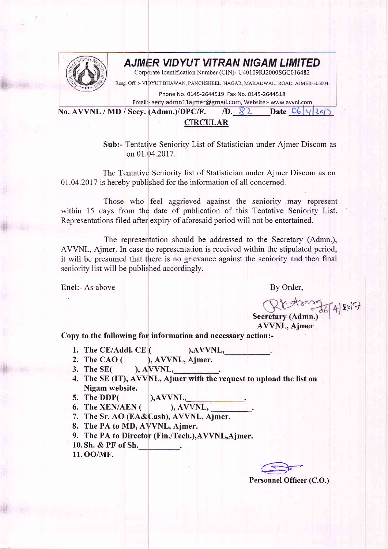

## AJMI=R VIDYUT VITRAN NIGAM LIMITED

Corporate Identification Number (CIN)- U40109RJ2000SGC016482

Reslg, Off. :- VIDYUT BHAWAN, PANCHSHEEL NAGAR, MAKADWALI ROAD, AJMER-305004

Phone No. 0145-2644519 Fax No. 0145-2644518

Email:- secy.admn11ajmer@gmail.com, Website:- www.avvnl.com

No. AVVNL / MD / Secy. (Admn.)/DPC/F.  $\angle$  D. 8.2. Date  $\angle$  0.  $\angle$  12.61

## **CIRCULAR**

Sub:- Tentative Seniority List of Statistician under Aimer Discom as on 01.04.2017.

The Tentative Seniority list of Statistician under Ajmer Discom as on 0l.04.2017 is hereby published for the information of all concerned.

Those who feel aggrieved against the seniority may represent within 15 days from the date of publication of this Tentative Seniority List. Representations filed after expiry of aforesaid period will not be entertained.

The representation should be addressed to the Secretary (Admn.), AVVNL, Ajmer. In case no representation is received within the stipulated period, it will be presumed that there is no grievance against the seniority and then final seniority list will be published accordingly.

Encl:- As above By Order,

 $2e$ 

 $\mathbf{se}$ AVVNL, Ajmer

Copy to the following for information and necessary action:-

- 1. The CE/Addl. CE  $($  ), AVVNL,
- $(T, Y, AVVNL, \underline{\hspace{1cm}}$ , AVVNL, Ajmer. 2. The CAO  $($
- ), AVVNL, 3. The SE(
- The SE (IT), AVVNL, Ajmer with the request to upload the list on 4. Nigam website.
- 5. The DDP( ), AVVNL,
	-
- 6. The XEN/A.EN ( $\qquad \qquad$ ), AVVNL,
- 7. The Sr. AO (EA&Cash), AVVNL, Ajmer.
- 8. The PA to MD, AVVNL, Ajmer.
- 9. The PA to Director (Fin./Tech.), AVVNL, Ajmer.
- 10. Sh. & PF of Sh.
- 11. OO/MF.

 $\subseteq$ 

Personnel Officer (C.O.)